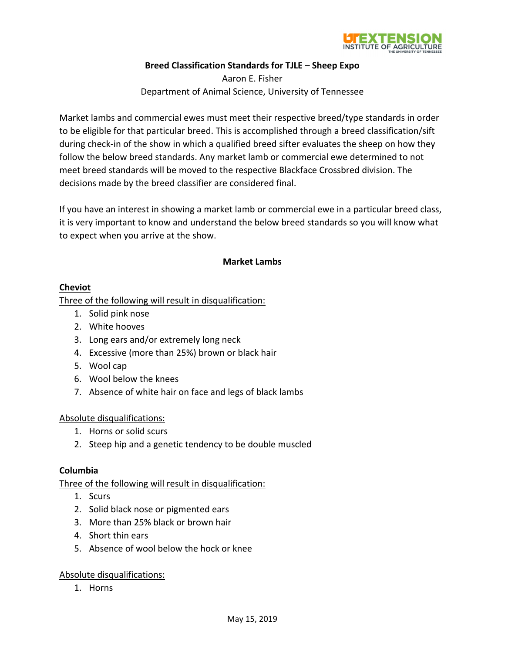

### **Breed Classification Standards for TJLE – Sheep Expo**

Aaron E. Fisher Department of Animal Science, University of Tennessee

Market lambs and commercial ewes must meet their respective breed/type standards in order to be eligible for that particular breed. This is accomplished through a breed classification/sift during check‐in of the show in which a qualified breed sifter evaluates the sheep on how they follow the below breed standards. Any market lamb or commercial ewe determined to not meet breed standards will be moved to the respective Blackface Crossbred division. The decisions made by the breed classifier are considered final.

If you have an interest in showing a market lamb or commercial ewe in a particular breed class, it is very important to know and understand the below breed standards so you will know what to expect when you arrive at the show.

### **Market Lambs**

#### **Cheviot**

Three of the following will result in disqualification:

- 1. Solid pink nose
- 2. White hooves
- 3. Long ears and/or extremely long neck
- 4. Excessive (more than 25%) brown or black hair
- 5. Wool cap
- 6. Wool below the knees
- 7. Absence of white hair on face and legs of black lambs

### Absolute disqualifications:

- 1. Horns or solid scurs
- 2. Steep hip and a genetic tendency to be double muscled

#### **Columbia**

Three of the following will result in disqualification:

- 1. Scurs
- 2. Solid black nose or pigmented ears
- 3. More than 25% black or brown hair
- 4. Short thin ears
- 5. Absence of wool below the hock or knee

### Absolute disqualifications:

1. Horns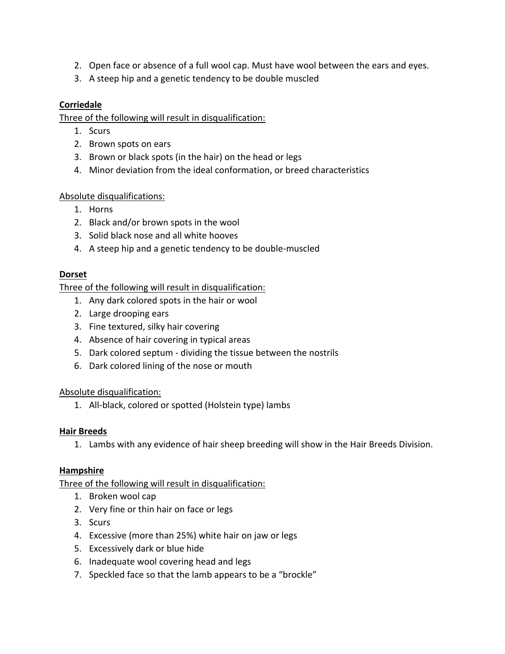- 2. Open face or absence of a full wool cap. Must have wool between the ears and eyes.
- 3. A steep hip and a genetic tendency to be double muscled

# **Corriedale**

Three of the following will result in disqualification:

- 1. Scurs
- 2. Brown spots on ears
- 3. Brown or black spots (in the hair) on the head or legs
- 4. Minor deviation from the ideal conformation, or breed characteristics

# Absolute disqualifications:

- 1. Horns
- 2. Black and/or brown spots in the wool
- 3. Solid black nose and all white hooves
- 4. A steep hip and a genetic tendency to be double‐muscled

## **Dorset**

Three of the following will result in disqualification:

- 1. Any dark colored spots in the hair or wool
- 2. Large drooping ears
- 3. Fine textured, silky hair covering
- 4. Absence of hair covering in typical areas
- 5. Dark colored septum ‐ dividing the tissue between the nostrils
- 6. Dark colored lining of the nose or mouth

## Absolute disqualification:

1. All‐black, colored or spotted (Holstein type) lambs

## **Hair Breeds**

1. Lambs with any evidence of hair sheep breeding will show in the Hair Breeds Division.

## **Hampshire**

Three of the following will result in disqualification:

- 1. Broken wool cap
- 2. Very fine or thin hair on face or legs
- 3. Scurs
- 4. Excessive (more than 25%) white hair on jaw or legs
- 5. Excessively dark or blue hide
- 6. Inadequate wool covering head and legs
- 7. Speckled face so that the lamb appears to be a "brockle"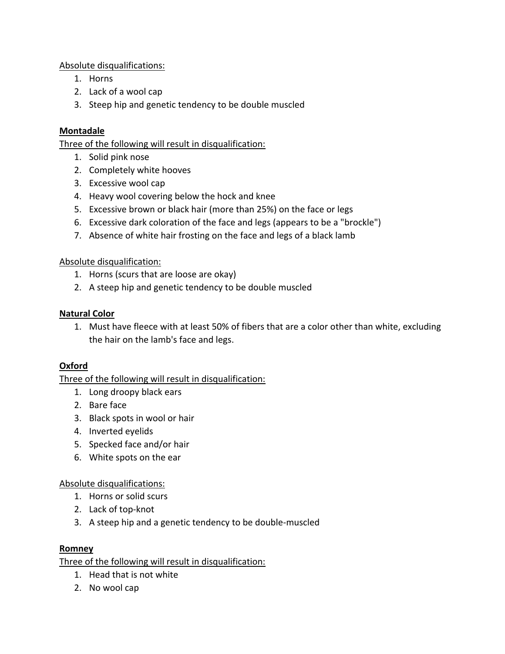Absolute disqualifications:

- 1. Horns
- 2. Lack of a wool cap
- 3. Steep hip and genetic tendency to be double muscled

# **Montadale**

Three of the following will result in disqualification:

- 1. Solid pink nose
- 2. Completely white hooves
- 3. Excessive wool cap
- 4. Heavy wool covering below the hock and knee
- 5. Excessive brown or black hair (more than 25%) on the face or legs
- 6. Excessive dark coloration of the face and legs (appears to be a "brockle")
- 7. Absence of white hair frosting on the face and legs of a black lamb

# Absolute disqualification:

- 1. Horns (scurs that are loose are okay)
- 2. A steep hip and genetic tendency to be double muscled

# **Natural Color**

1. Must have fleece with at least 50% of fibers that are a color other than white, excluding the hair on the lamb's face and legs.

# **Oxford**

Three of the following will result in disqualification:

- 1. Long droopy black ears
- 2. Bare face
- 3. Black spots in wool or hair
- 4. Inverted eyelids
- 5. Specked face and/or hair
- 6. White spots on the ear

# Absolute disqualifications:

- 1. Horns or solid scurs
- 2. Lack of top‐knot
- 3. A steep hip and a genetic tendency to be double‐muscled

# **Romney**

Three of the following will result in disqualification:

- 1. Head that is not white
- 2. No wool cap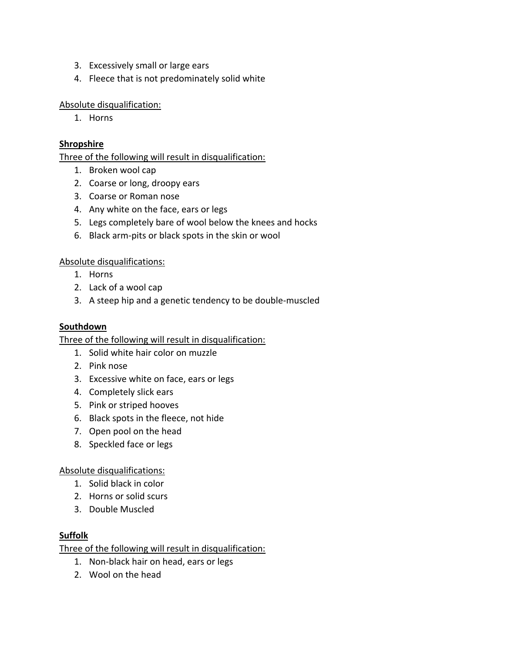- 3. Excessively small or large ears
- 4. Fleece that is not predominately solid white

### Absolute disqualification:

1. Horns

### **Shropshire**

Three of the following will result in disqualification:

- 1. Broken wool cap
- 2. Coarse or long, droopy ears
- 3. Coarse or Roman nose
- 4. Any white on the face, ears or legs
- 5. Legs completely bare of wool below the knees and hocks
- 6. Black arm‐pits or black spots in the skin or wool

### Absolute disqualifications:

- 1. Horns
- 2. Lack of a wool cap
- 3. A steep hip and a genetic tendency to be double‐muscled

### **Southdown**

Three of the following will result in disqualification:

- 1. Solid white hair color on muzzle
- 2. Pink nose
- 3. Excessive white on face, ears or legs
- 4. Completely slick ears
- 5. Pink or striped hooves
- 6. Black spots in the fleece, not hide
- 7. Open pool on the head
- 8. Speckled face or legs

### Absolute disqualifications:

- 1. Solid black in color
- 2. Horns or solid scurs
- 3. Double Muscled

### **Suffolk**

Three of the following will result in disqualification:

- 1. Non‐black hair on head, ears or legs
- 2. Wool on the head